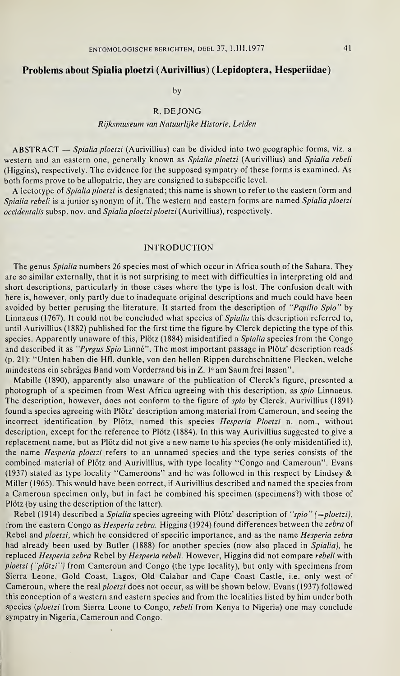# Problems about Spialia ploetzi (Aurivillius) (Lepidoptera, Hesperiidae)

by

## R. DE JONG

#### Rijksmuseum van Natuurlijke Historie, Leiden

ABSTRACT — Spialia ploetzi (Aurivillius) can be divided into two geographic forms, viz. a western and an eastern one, generally known as Spialia ploetzi (Aurivillius) and Spialia rebeli (Higgins), respectively. The evidence for the supposed sympatry of these forms is examined. As both forms prove to be allopatric, they are consigned to subspecific level.

A lectotype of Spialia ploetzi is designated; this name is shown to refer to the eastern form and Spialia rebeli is a junior synonym of it. The western and eastern forms are named Spialia ploetzi occidentalis subsp. nov. and Spialia ploetzi ploetzi (Aurivillius), respectively.

### INTRODUCTION

The genus Spialia numbers 26 species most of which occur in Africa south of the Sahara. They are so similar externally, that it is not surprising to meet with difficulties in interpreting old and short descriptions, particularly in those cases where the type is lost. The confusion dealt with here is, however, only partly due to inadequate original descriptions and much could have been avoided by better perusing the literature. It started from the description of "Papilio Spio" by Linnaeus (1767). It could not be concluded what species of Spialia this description referred to, until Aurivillius (1882) published for the first time the figure by Clerck depicting the type of this species. Apparently unaware of this, Plötz (1884) misidentified a Spialia species from the Congo and described it as "Pyrgus Spio Linné". The most important passage in Plötz' description reads (p. 21): "Unten haben die Hfl. dunkle, von den hellen Rippen durchschnittene Flecken, welche mindestens ein schräges Band vom Vorderrand bis in Z. Ie am Saum frei lassen".

Mabille (1890), apparently also unaware of the publication of Clerck's figure, presented a photograph of a specimen from West Africa agreeing with this description, as spio Linnaeus. The description, however, does not conform to the figure of spio by Clerck. Aurivillius (1891) found a species agreeing with Plötz' description among material from Cameroun, and seeing the incorrect identification by Plötz, named this species Hesperia Ploetzi n. nom., without description, except for the reference to Plötz (1884). In this way Aurivillius suggested to give a replacement name, but as Plötz did not give a new name to his species (he only misidentified it), the name Hesperia ploetzi refers to an unnamed species and the type series consists of the combined material of Plötz and Aurivillius, with type locality "Congo and Cameroun". Evans (1937) stated as type locality "Cameroons" and he was followed in this respect by Lindsey  $\&$ Miller (1965). This would have been correct, if Aurivillius described and named the species from a Cameroun specimen only, but in fact he combined his specimen (specimens?) with those of Plötz (by using the description of the latter).

Rebel (1914) described a Spialia species agreeing with Plötz' description of "spio" (= ploetzi), from the eastern Congo as Hesperia zebra. Higgins (1924) found differences between the zebra of Rebel and *ploetzi*, which he considered of specific importance, and as the name *Hesperia zebra* had already been used by Butler (1888) for another species (now also placed in Spialia), he replaced Hesperia zebra Rebel by Hesperia rebeli. However, Higgins did not compare rebeli with ploetzi ("plötzi") from Cameroun and Congo (the type locality), but only with specimens from Sierra Leone, Gold Coast, Lagos, Old Calabar and Cape Coast Castle, i.e. only west of Cameroun, where the real ploetzi does not occur, as will be shown below. Evans (1937) followed this conception of a western and eastern species and from the localities listed by him under both species {ploetzi from Sierra Leone to Congo, rebeli from Kenya to Nigeria) one may conclude sympatry in Nigeria, Cameroun and Congo.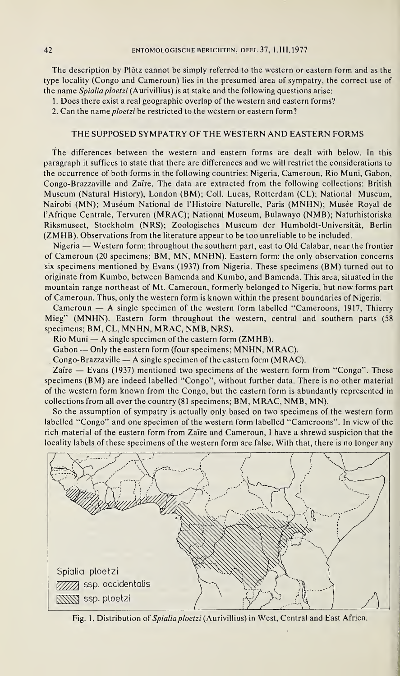The description by Plötz cannot be simply referred to the western or eastern form and as the type locality (Congo and Cameroun) lies in the presumed area of sympatry, the correct use of the name Spialia ploetzi (Aurivillius) is at stake and the following questions arise:

1. Does there exist a real geographic overlap of the western and eastern forms?

2. Can the name ploetzi be restricted to the western or eastern form?

## THE SUPPOSED SYMPATRY OF THE WESTERN AND EASTERN FORMS

The differences between the western and eastern forms are dealt with below. In this paragraph it suffices to state that there are differences and we will restrict the considerations to the occurrence of both forms in the following countries: Nigeria, Cameroun, Rio Muni, Gabon, Congo-Brazzaville and Zaïre. The data are extracted from the following collections: British Museum (Natural History), London (BM); Coll. Lucas, Rotterdam (CL); National Museum, Nairobi (MN); Muséum National de l'Histoire Naturelle, Paris (MNHN); Musée Royal de l'Afrique Centrale, Tervuren (MRAC); National Museum, Bulawayo (NMB); Naturhistoriska Riksmuseet, Stockholm (NRS); Zoologisches Museum der Humboldt-Universität, Berlin (ZMHB). Observations from the literature appear to be too unreliable to be included.

Nigeria — Western form: throughout the southern part, east to Old Calabar, near the frontier of Cameroun (20 specimens; BM, MN, MNHN). Eastern form: the only observation concerns six specimens mentioned by Evans (1937) from Nigeria. These specimens (BM) turned out to originate from Kumbo, between Bamenda and Kumbo, and Bamenda. This area, situated in the mountain range northeast of Mt. Cameroun, formerly belonged to Nigeria, but now forms part of Cameroun. Thus, only the western form is known within the present boundaries of Nigeria.

Cameroun — A single specimen of the western form labelled "Cameroons, 1917, Thierry Mieg" (MNHN). Eastern form throughout the western, central and southern parts (58 specimens; BM, CL, MNHN, MRAC, NMB, NRS).

Rio Muni — A single specimen of the eastern form (ZMHB).

Gabon — Only the eastern form (four specimens; MNHN, MRAC).

Congo-Brazzaville — A single specimen of the eastern form (MRAC).

Zaïre — Evans (1937) mentioned two specimens of the western form from "Congo". These specimens (BM) are indeed labelled "Congo", without further data. There is no other material of the western form known from the Congo, but the eastern form is abundantly represented in collections from all over the country (81 specimens; BM, MRAC, NMB, MN).

So the assumption of sympatry is actually only based on two specimens of the western form labelled "Congo" and one specimen of the western form labelled "Cameroons". In view of the rich material of the eastern form from Zaïre and Cameroun, <sup>I</sup> have a shrewd suspicion that the locality labels of these specimens of the western form are false. With that, there is no longer any



Fig. 1. Distribution of Spialia ploetzi (Aurivillius) in West, Central and East Africa.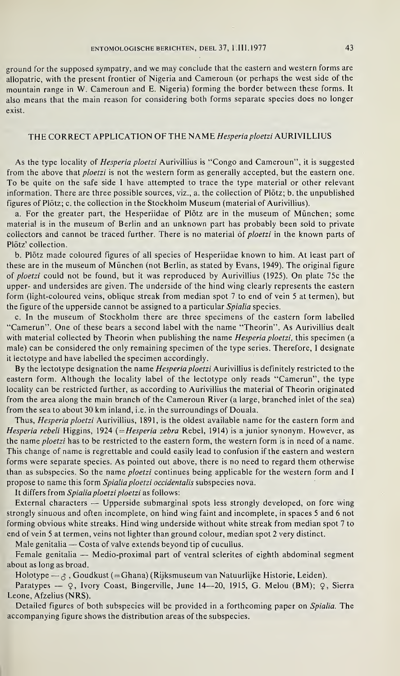#### ENTOMOLOGISCHE BERICHTEN, DEEL 37, 1.III.1977 43

ground for the supposed sympatry, and we may conclude that the eastern and western forms are allopatric, with the present frontier of Nigeria and Cameroun (or perhaps the west side of the mountain range in W. Cameroun and E. Nigeria) forming the border between these forms. It also means that the main reason for considering both forms separate species does no longer exist.

## THE CORRECT APPLICATION OF THE NAME Hesperiaploetzi AURIVILLIUS

As the type locality of *Hesperia ploetzi* Aurivillius is "Congo and Cameroun", it is suggested from the above that *ploetzi* is not the western form as generally accepted, but the eastern one. To be quite on the safe side <sup>I</sup> have attempted to trace the type material or other relevant information. There are three possible sources, viz., a. the collection of Plötz; b. the unpublished figures of Plötz; c. the collection in the Stockholm Museum (material of Aurivillius).

a. For the greater part, the Hesperiidae of Plötz are in the museum of München; some material is in the museum of Berlin and an unknown part has probably been sold to private collectors and cannot be traced further. There is no material of ploetzi in the known parts of Plötz' collection.

b. Plötz made coloured figures of all species of Hesperiidae known to him. At least part of these are in the museum of München (not Berlin, as stated by Evans, 1949). The original figure of ploetzi could not be found, but it was reproduced by Aurivillius (1925). On plate 75c the upper- and undersides are given. The underside of the hind wing clearly represents the eastern form (light-coloured veins, oblique streak from median spot 7 to end of vein 5 at termen), but the figure of the upperside cannot be assigned to a particular Spialia species.

c. In the museum of Stockholm there are three specimens of the eastern form labelled "Camerun". One of these bears a second label with the name "Theorin". As Aurivillius dealt with material collected by Theorin when publishing the name Hesperia ploetzi, this specimen (a male) can be considered the only remaining specimen of the type series. Therefore, I designate it lectotype and have labelled the specimen accordingly.

By the lectotype designation the name *Hesperia ploetzi* Aurivillius is definitely restricted to the eastern form. Although the locality label of the lectotype only reads "Camerun", the type locality can be restricted further, as according to Aurivillius the material of Theorin originated from the area along the main branch of the Cameroun River (a large, branched inlet of the sea) from the sea to about 30 km inland, i.e. in the surroundings of Douala.

Thus, Hesperia ploetzi Aurivillius, 1891, is the oldest available name for the eastern form and Hesperia rebeli Higgins, 1924 (= Hesperia zebra Rebel, 1914) is a junior synonym. However, as the name ploetzi has to be restricted to the eastern form, the western form is in need of a name. This change of name is regrettable and could easily lead to confusion if the eastern and western forms were separate species. As pointed out above, there is no need to regard them otherwise than as subspecies. So the name ploetzi continues being applicable for the western form and I propose to name this form Spialia ploetzi occidentalis subspecies nova.

It differs from Spialia ploetzi ploetzi as follows:

External characters — Upperside submarginal spots less strongly developed, on fore wing strongly sinuous and often incomplete, on hind wing faint and incomplete, in spaces 5 and 6 not forming obvious white streaks. Hind wing underside without white streak from median spot 7 to end of vein 5 at termen, veins not lighter than ground colour, median spot 2 very distinct.

Male genitalia — Costa of valve extends beyond tip of cucullus.

Female genitalia — Medio-proximal part of ventral sclerites of eighth abdominal segment about as long as broad.

Holotype —  $\beta$ , Goudkust (= Ghana) (Rijksmuseum van Natuurlijke Historie, Leiden).

Paratypes — Q, Ivory Coast, Bingerville, June 14—20, 1915, G. Melou (BM); Q, Sierra Leone, Afzelius (NRS).

Detailed figures of both subspecies will be provided in a forthcoming paper on Spialia. The accompanying figure shows the distribution areas of the subspecies.